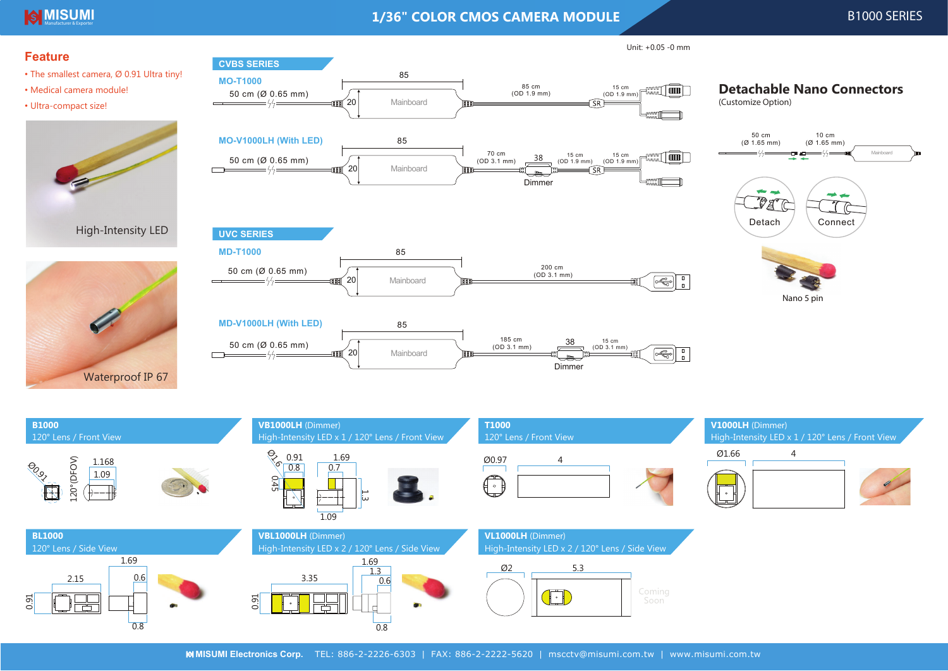# **MISUMI** Exporter and the exporter of the exporter of the exporter  $1/36$ " COLOR CMOS CAMERA MODULE Exporter  $\blacksquare$

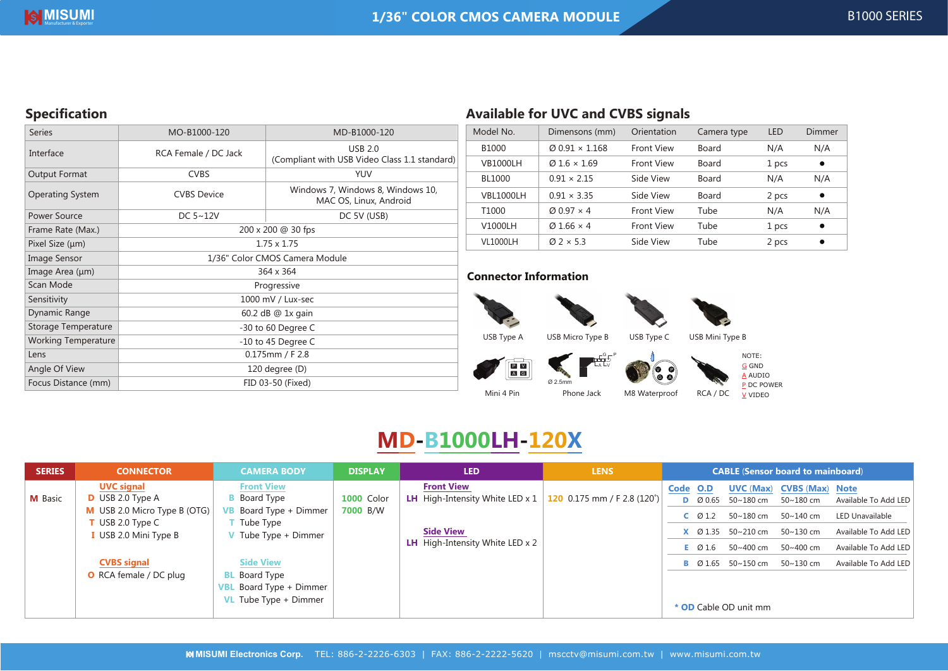# **Specification**

| <b>Series</b>              | MO-B1000-120                   | MD-B1000-120                                                    |  |  |  |
|----------------------------|--------------------------------|-----------------------------------------------------------------|--|--|--|
| Interface                  | RCA Female / DC Jack           | <b>USB 2.0</b><br>(Compliant with USB Video Class 1.1 standard) |  |  |  |
| Output Format              | <b>CVBS</b>                    | <b>YUV</b>                                                      |  |  |  |
| <b>Operating System</b>    | <b>CVBS Device</b>             | Windows 7, Windows 8, Windows 10,<br>MAC OS, Linux, Android     |  |  |  |
| Power Source               | DC $5~12V$                     | DC 5V (USB)                                                     |  |  |  |
| Frame Rate (Max.)          | 200 x 200 @ 30 fps             |                                                                 |  |  |  |
| Pixel Size (µm)            | $1.75 \times 1.75$             |                                                                 |  |  |  |
| Image Sensor               | 1/36" Color CMOS Camera Module |                                                                 |  |  |  |
| Image Area (µm)            | 364 x 364                      |                                                                 |  |  |  |
| Scan Mode                  | Progressive                    |                                                                 |  |  |  |
| Sensitivity                | 1000 mV / Lux-sec              |                                                                 |  |  |  |
| Dynamic Range              | 60.2 dB @ 1x gain              |                                                                 |  |  |  |
| Storage Temperature        | -30 to 60 Degree C             |                                                                 |  |  |  |
| <b>Working Temperature</b> | -10 to 45 Degree C             |                                                                 |  |  |  |
| Lens                       | $0.175$ mm / F 2.8             |                                                                 |  |  |  |
| Angle Of View              | 120 degree (D)                 |                                                                 |  |  |  |
| Focus Distance (mm)        | FID 03-50 (Fixed)              |                                                                 |  |  |  |

# **Available for UVC and CVBS signals**

| Model No.       | Dimensons (mm)                    | Orientation       | Camera type  | LED   | Dimmer    |
|-----------------|-----------------------------------|-------------------|--------------|-------|-----------|
| B1000           | $\varnothing$ 0.91 $\times$ 1.168 | <b>Front View</b> | Board        | N/A   | N/A       |
| <b>VB1000LH</b> | $Q1.6 \times 1.69$                | <b>Front View</b> | Board        | 1 pcs | $\bullet$ |
| BL1000          | $0.91 \times 2.15$                | Side View         | <b>Board</b> | N/A   | N/A       |
| VBL1000LH       | $0.91 \times 3.35$                | Side View         | Board        | 2 pcs | $\bullet$ |
| T1000           | $\varnothing$ 0.97 $\times$ 4     | <b>Front View</b> | Tube         | N/A   | N/A       |
| V1000LH         | $\varnothing$ 1.66 $\times$ 4     | <b>Front View</b> | Tube         | 1 pcs | $\bullet$ |
| <b>VL1000LH</b> | $\varnothing$ 2 $\times$ 5.3      | Side View         | Tube         | 2 pcs | ٠         |

## **Connector Information**





A





<u>A</u> AUDIO <mark>P</mark> DC POWER V VIDEO

# **MD-B1000LH-120X**

Mini 4 Pin

| <b>SERIES</b>  | <b>CONNECTOR</b>                                                                                         | <b>CAMERA BODY</b>                                                                                  | <b>DISPLAY</b>                | <b>LED</b>                                                                                                                           | <b>LENS</b> | <b>CABLE (Sensor board to mainboard)</b>                                                                                                                                                                                                                                      |
|----------------|----------------------------------------------------------------------------------------------------------|-----------------------------------------------------------------------------------------------------|-------------------------------|--------------------------------------------------------------------------------------------------------------------------------------|-------------|-------------------------------------------------------------------------------------------------------------------------------------------------------------------------------------------------------------------------------------------------------------------------------|
| <b>M</b> Basic | <b>UVC signal</b><br>$D$ USB 2.0 Type A<br>M USB 2.0 Micro Type B (OTG)<br>$\blacksquare$ USB 2.0 Type C | <b>Front View</b><br><b>B</b> Board Type<br><b>VB</b> Board Type + Dimmer<br>Tube Type              | <b>1000 Color</b><br>7000 B/W | <b>Front View</b><br><b>LH</b> High-Intensity White LED x $1 \mid 120 \mid 0.175$ mm / F 2.8 (120 <sup>°</sup> )<br><b>Side View</b> |             | <b>CVBS (Max) Note</b><br>Code O.D<br>UVC (Max)<br><b>D</b> $\varnothing$ 0.65 50~180 cm<br>Available To Add LED<br>50~180 cm<br>$50 - 180$ cm $50 - 140$ cm<br><b>LED Unavailable</b><br>$C$ 01.2<br><b>X</b> $\varnothing$ 1.35 50~210 cm 50~130 cm<br>Available To Add LED |
|                | USB 2.0 Mini Type B<br>V Tube Type $+$ Dimmer                                                            | <b>LH</b> High-Intensity White LED $\times$ 2                                                       |                               | Available To Add LED<br>50~400 cm<br>50~400 cm<br>$E$ Ø1.6                                                                           |             |                                                                                                                                                                                                                                                                               |
|                | <b>CVBS</b> signal<br><b>O</b> RCA female / DC plug                                                      | <b>Side View</b><br><b>BL</b> Board Type<br><b>VBL</b> Board Type + Dimmer<br>VL Tube Type + Dimmer |                               |                                                                                                                                      |             | Available To Add LED<br><b>B</b> $\varnothing$ 1.65 50~150 cm 50~130 cm<br>* OD Cable OD unit mm                                                                                                                                                                              |